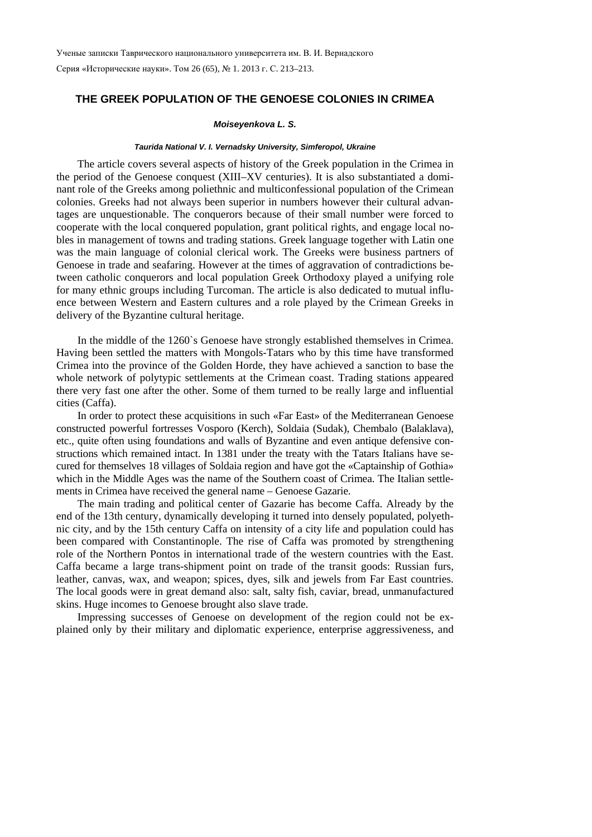Серия «Исторические науки». Том 26 (65), № 1. 2013 г. С. 213–213.

## **THE GREEK POPULATION OF THE GENOESE COLONIES IN CRIMEA**

## *Moiseyenkova L. S.*

## *Taurida National V. I. Vernadsky University, Simferopol, Ukraine*

The article covers several aspects of history of the Greek population in the Crimea in the period of the Genoese conquest (XIII–XV centuries). It is also substantiated a dominant role of the Greeks among poliethnic and multiconfessional population of the Crimean colonies. Greeks had not always been superior in numbers however their cultural advantages are unquestionable. The conquerors because of their small number were forced to cooperate with the local conquered population, grant political rights, and engage local nobles in management of towns and trading stations. Greek language together with Latin one was the main language of colonial clerical work. The Greeks were business partners of Genoese in trade and seafaring. However at the times of aggravation of contradictions between catholic conquerors and local population Greek Orthodoxy played a unifying role for many ethnic groups including Turcoman. The article is also dedicated to mutual influence between Western and Eastern cultures and a role played by the Crimean Greeks in delivery of the Byzantine cultural heritage.

In the middle of the 1260`s Genoese have strongly established themselves in Crimea. Having been settled the matters with Mongols-Tatars who by this time have transformed Crimea into the province of the Golden Horde, they have achieved a sanction to base the whole network of polytypic settlements at the Crimean coast. Trading stations appeared there very fast one after the other. Some of them turned to be really large and influential cities (Caffa).

In order to protect these acquisitions in such «Far East» of the Mediterranean Genoese constructed powerful fortresses Vosporo (Kerch), Soldaia (Sudak), Chembalo (Balaklava), etc., quite often using foundations and walls of Byzantine and even antique defensive constructions which remained intact. In 1381 under the treaty with the Tatars Italians have secured for themselves 18 villages of Soldaia region and have got the «Captainship of Gothia» which in the Middle Ages was the name of the Southern coast of Crimea. The Italian settlements in Crimea have received the general name – Genoese Gazarie.

The main trading and political center of Gazarie has become Caffa. Already by the end of the 13th century, dynamically developing it turned into densely populated, polyethnic city, and by the 15th century Caffa on intensity of a city life and population could has been compared with Constantinople. The rise of Caffa was promoted by strengthening role of the Northern Pontos in international trade of the western countries with the East. Caffa became a large trans-shipment point on trade of the transit goods: Russian furs, leather, canvas, wax, and weapon; spices, dyes, silk and jewels from Far East countries. The local goods were in great demand also: salt, salty fish, caviar, bread, unmanufactured skins. Huge incomes to Genoese brought also slave trade.

Impressing successes of Genoese on development of the region could not be explained only by their military and diplomatic experience, enterprise aggressiveness, and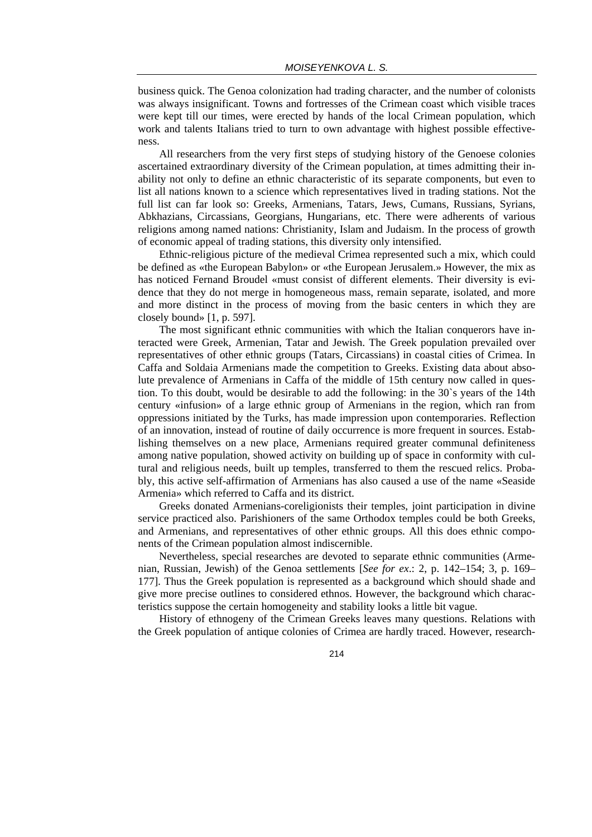business quick. The Genoa colonization had trading character, and the number of colonists was always insignificant. Towns and fortresses of the Crimean coast which visible traces were kept till our times, were erected by hands of the local Crimean population, which work and talents Italians tried to turn to own advantage with highest possible effectiveness.

All researchers from the very first steps of studying history of the Genoese colonies ascertained extraordinary diversity of the Crimean population, at times admitting their inability not only to define an ethnic characteristic of its separate components, but even to list all nations known to a science which representatives lived in trading stations. Not the full list can far look so: Greeks, Armenians, Tatars, Jews, Cumans, Russians, Syrians, Abkhazians, Circassians, Georgians, Hungarians, etc. There were adherents of various religions among named nations: Christianity, Islam and Judaism. In the process of growth of economic appeal of trading stations, this diversity only intensified.

Ethnic-religious picture of the medieval Crimea represented such a mix, which could be defined as «the European Babylon» or «the European Jerusalem.» However, the mix as has noticed Fernand Broudel «must consist of different elements. Their diversity is evidence that they do not merge in homogeneous mass, remain separate, isolated, and more and more distinct in the process of moving from the basic centers in which they are closely bound» [1, p. 597].

The most significant ethnic communities with which the Italian conquerors have interacted were Greek, Armenian, Tatar and Jewish. The Greek population prevailed over representatives of other ethnic groups (Tatars, Circassians) in coastal cities of Crimea. In Caffa and Soldaia Armenians made the competition to Greeks. Existing data about absolute prevalence of Armenians in Caffa of the middle of 15th century now called in question. To this doubt, would be desirable to add the following: in the 30`s years of the 14th century «infusion» of a large ethnic group of Armenians in the region, which ran from oppressions initiated by the Turks, has made impression upon contemporaries. Reflection of an innovation, instead of routine of daily occurrence is more frequent in sources. Establishing themselves on a new place, Armenians required greater communal definiteness among native population, showed activity on building up of space in conformity with cultural and religious needs, built up temples, transferred to them the rescued relics. Probably, this active self-affirmation of Armenians has also caused a use of the name «Seaside Armenia» which referred to Caffa and its district.

Greeks donated Armenians-coreligionists their temples, joint participation in divine service practiced also. Parishioners of the same Orthodox temples could be both Greeks, and Armenians, and representatives of other ethnic groups. All this does ethnic components of the Crimean population almost indiscernible.

Nevertheless, special researches are devoted to separate ethnic communities (Armenian, Russian, Jewish) of the Genoa settlements [*See for ex*.: 2, p. 142–154; 3, p. 169– 177]. Thus the Greek population is represented as a background which should shade and give more precise outlines to considered ethnos. However, the background which characteristics suppose the certain homogeneity and stability looks a little bit vague.

History of ethnogeny of the Crimean Greeks leaves many questions. Relations with the Greek population of antique colonies of Crimea are hardly traced. However, research-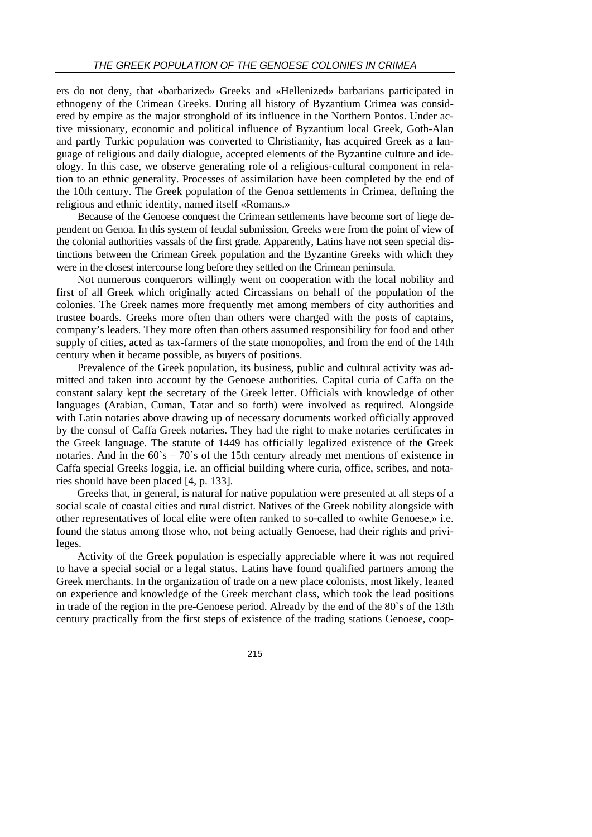ers do not deny, that «barbarized» Greeks and «Hellenized» barbarians participated in ethnogeny of the Crimean Greeks. During all history of Byzantium Crimea was considered by empire as the major stronghold of its influence in the Northern Pontos. Under active missionary, economic and political influence of Byzantium local Greek, Goth-Alan and partly Turkic population was converted to Christianity, has acquired Greek as a language of religious and daily dialogue, accepted elements of the Byzantine culture and ideology. In this case, we observe generating role of a religious-cultural component in relation to an ethnic generality. Processes of assimilation have been completed by the end of the 10th century. The Greek population of the Genoa settlements in Crimea, defining the religious and ethnic identity, named itself «Romans.»

Because of the Genoese conquest the Crimean settlements have become sort of liege dependent on Genoa. In this system of feudal submission, Greeks were from the point of view of the colonial authorities vassals of the first grade. Apparently, Latins have not seen special distinctions between the Crimean Greek population and the Byzantine Greeks with which they were in the closest intercourse long before they settled on the Crimean peninsula.

Not numerous conquerors willingly went on cooperation with the local nobility and first of all Greek which originally acted Circassians on behalf of the population of the colonies. The Greek names more frequently met among members of city authorities and trustee boards. Greeks more often than others were charged with the posts of captains, company's leaders. They more often than others assumed responsibility for food and other supply of cities, acted as tax-farmers of the state monopolies, and from the end of the 14th century when it became possible, as buyers of positions.

Prevalence of the Greek population, its business, public and cultural activity was admitted and taken into account by the Genoese authorities. Capital curia of Caffa on the constant salary kept the secretary of the Greek letter. Officials with knowledge of other languages (Arabian, Cuman, Tatar and so forth) were involved as required. Alongside with Latin notaries above drawing up of necessary documents worked officially approved by the consul of Caffa Greek notaries. They had the right to make notaries certificates in the Greek language. The statute of 1449 has officially legalized existence of the Greek notaries. And in the  $60^\circ s - 70^\circ s$  of the 15th century already met mentions of existence in Caffa special Greeks loggia, i.e. an official building where curia, office, scribes, and notaries should have been placed [4, p. 133].

Greeks that, in general, is natural for native population were presented at all steps of a social scale of coastal cities and rural district. Natives of the Greek nobility alongside with other representatives of local elite were often ranked to so-called to «white Genoese,» i.e. found the status among those who, not being actually Genoese, had their rights and privileges.

Activity of the Greek population is especially appreciable where it was not required to have a special social or a legal status. Latins have found qualified partners among the Greek merchants. In the organization of trade on a new place colonists, most likely, leaned on experience and knowledge of the Greek merchant class, which took the lead positions in trade of the region in the pre-Genoese period. Already by the end of the 80`s of the 13th century practically from the first steps of existence of the trading stations Genoese, coop-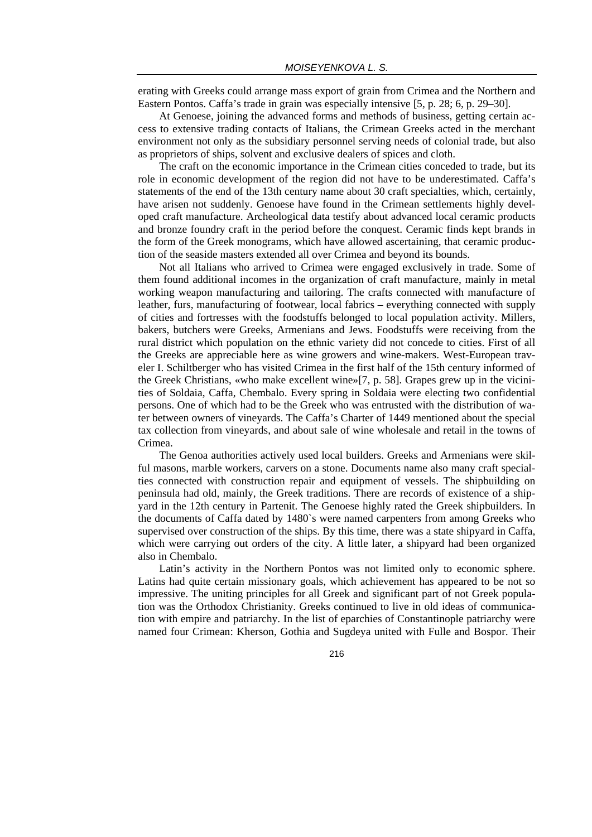erating with Greeks could arrange mass export of grain from Crimea and the Northern and Eastern Pontos. Caffa's trade in grain was especially intensive [5, p. 28; 6, p. 29–30].

At Genoese, joining the advanced forms and methods of business, getting certain access to extensive trading contacts of Italians, the Crimean Greeks acted in the merchant environment not only as the subsidiary personnel serving needs of colonial trade, but also as proprietors of ships, solvent and exclusive dealers of spices and cloth.

The craft on the economic importance in the Crimean cities conceded to trade, but its role in economic development of the region did not have to be underestimated. Caffa's statements of the end of the 13th century name about 30 craft specialties, which, certainly, have arisen not suddenly. Genoese have found in the Crimean settlements highly developed craft manufacture. Archeological data testify about advanced local ceramic products and bronze foundry craft in the period before the conquest. Ceramic finds kept brands in the form of the Greek monograms, which have allowed ascertaining, that ceramic production of the seaside masters extended all over Crimea and beyond its bounds.

Not all Italians who arrived to Crimea were engaged exclusively in trade. Some of them found additional incomes in the organization of craft manufacture, mainly in metal working weapon manufacturing and tailoring. The crafts connected with manufacture of leather, furs, manufacturing of footwear, local fabrics – everything connected with supply of cities and fortresses with the foodstuffs belonged to local population activity. Millers, bakers, butchers were Greeks, Armenians and Jews. Foodstuffs were receiving from the rural district which population on the ethnic variety did not concede to cities. First of all the Greeks are appreciable here as wine growers and wine-makers. West-European traveler I. Schiltberger who has visited Crimea in the first half of the 15th century informed of the Greek Christians, «who make excellent wine»[7, p. 58]. Grapes grew up in the vicinities of Soldaia, Caffa, Chembalo. Every spring in Soldaia were electing two confidential persons. One of which had to be the Greek who was entrusted with the distribution of water between owners of vineyards. The Caffa's Charter of 1449 mentioned about the special tax collection from vineyards, and about sale of wine wholesale and retail in the towns of Crimea.

The Genoa authorities actively used local builders. Greeks and Armenians were skilful masons, marble workers, carvers on a stone. Documents name also many craft specialties connected with construction repair and equipment of vessels. The shipbuilding on peninsula had old, mainly, the Greek traditions. There are records of existence of a shipyard in the 12th century in Partenit. The Genoese highly rated the Greek shipbuilders. In the documents of Caffa dated by 1480`s were named carpenters from among Greeks who supervised over construction of the ships. By this time, there was a state shipyard in Caffa, which were carrying out orders of the city. A little later, a shipyard had been organized also in Chembalo.

Latin's activity in the Northern Pontos was not limited only to economic sphere. Latins had quite certain missionary goals, which achievement has appeared to be not so impressive. The uniting principles for all Greek and significant part of not Greek population was the Orthodox Christianity. Greeks continued to live in old ideas of communication with empire and patriarchy. In the list of eparchies of Constantinople patriarchy were named four Crimean: Kherson, Gothia and Sugdeya united with Fulle and Bospor. Their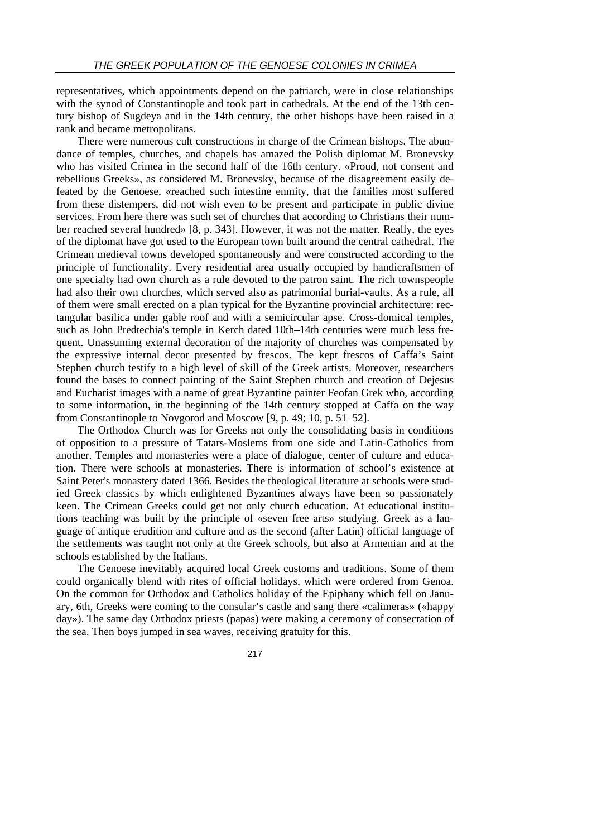representatives, which appointments depend on the patriarch, were in close relationships with the synod of Constantinople and took part in cathedrals. At the end of the 13th century bishop of Sugdeya and in the 14th century, the other bishops have been raised in a rank and became metropolitans.

There were numerous cult constructions in charge of the Crimean bishops. The abundance of temples, churches, and chapels has amazed the Polish diplomat M. Bronevsky who has visited Crimea in the second half of the 16th century. «Proud, not consent and rebellious Greeks», as considered M. Bronevsky, because of the disagreement easily defeated by the Genoese, «reached such intestine enmity, that the families most suffered from these distempers, did not wish even to be present and participate in public divine services. From here there was such set of churches that according to Christians their number reached several hundred» [8, p. 343]. However, it was not the matter. Really, the eyes of the diplomat have got used to the European town built around the central cathedral. The Crimean medieval towns developed spontaneously and were constructed according to the principle of functionality. Every residential area usually occupied by handicraftsmen of one specialty had own church as a rule devoted to the patron saint. The rich townspeople had also their own churches, which served also as patrimonial burial-vaults. As a rule, all of them were small erected on a plan typical for the Byzantine provincial architecture: rectangular basilica under gable roof and with a semicircular apse. Cross-domical temples, such as John Predtechia's temple in Kerch dated 10th–14th centuries were much less frequent. Unassuming external decoration of the majority of churches was compensated by the expressive internal decor presented by frescos. The kept frescos of Caffa's Saint Stephen church testify to a high level of skill of the Greek artists. Moreover, researchers found the bases to connect painting of the Saint Stephen church and creation of Dejesus and Eucharist images with a name of great Byzantine painter Feofan Grek who, according to some information, in the beginning of the 14th century stopped at Caffa on the way from Constantinople to Novgorod and Moscow [9, p. 49; 10, p. 51–52].

The Orthodox Church was for Greeks not only the consolidating basis in conditions of opposition to a pressure of Tatars-Moslems from one side and Latin-Catholics from another. Temples and monasteries were a place of dialogue, center of culture and education. There were schools at monasteries. There is information of school's existence at Saint Peter's monastery dated 1366. Besides the theological literature at schools were studied Greek classics by which enlightened Byzantines always have been so passionately keen. The Crimean Greeks could get not only church education. At educational institutions teaching was built by the principle of «seven free arts» studying. Greek as a language of antique erudition and culture and as the second (after Latin) official language of the settlements was taught not only at the Greek schools, but also at Armenian and at the schools established by the Italians.

The Genoese inevitably acquired local Greek customs and traditions. Some of them could organically blend with rites of official holidays, which were ordered from Genoa. On the common for Orthodox and Catholics holiday of the Epiphany which fell on January, 6th, Greeks were coming to the consular's castle and sang there «calimeras» («happy day»). The same day Orthodox priests (papas) were making a ceremony of consecration of the sea. Then boys jumped in sea waves, receiving gratuity for this.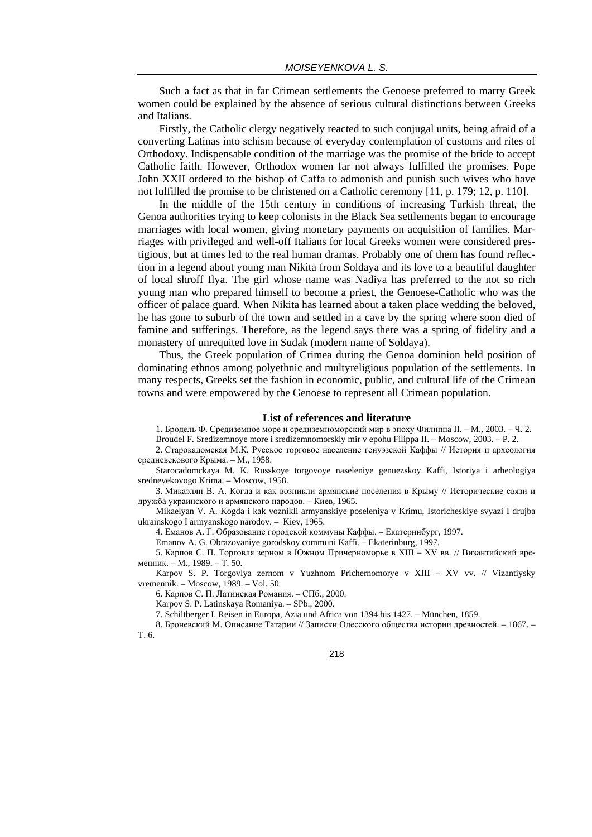Such a fact as that in far Crimean settlements the Genoese preferred to marry Greek women could be explained by the absence of serious cultural distinctions between Greeks and Italians.

Firstly, the Catholic clergy negatively reacted to such conjugal units, being afraid of a converting Latinas into schism because of everyday contemplation of customs and rites of Orthodoxy. Indispensable condition of the marriage was the promise of the bride to accept Catholic faith. However, Orthodox women far not always fulfilled the promises. Pope John XXII ordered to the bishop of Caffa to admonish and punish such wives who have not fulfilled the promise to be christened on a Catholic ceremony [11, p. 179; 12, p. 110].

In the middle of the 15th century in conditions of increasing Turkish threat, the Genoa authorities trying to keep colonists in the Black Sea settlements began to encourage marriages with local women, giving monetary payments on acquisition of families. Marriages with privileged and well-off Italians for local Greeks women were considered prestigious, but at times led to the real human dramas. Probably one of them has found reflection in a legend about young man Nikita from Soldaya and its love to a beautiful daughter of local shroff Ilya. The girl whose name was Nadiya has preferred to the not so rich young man who prepared himself to become a priest, the Genoese-Catholic who was the officer of palace guard. When Nikita has learned about a taken place wedding the beloved, he has gone to suburb of the town and settled in a cave by the spring where soon died of famine and sufferings. Therefore, as the legend says there was a spring of fidelity and a monastery of unrequited love in Sudak (modern name of Soldaya).

Thus, the Greek population of Crimea during the Genoa dominion held position of dominating ethnos among polyethnic and multyreligious population of the settlements. In many respects, Greeks set the fashion in economic, public, and cultural life of the Crimean towns and were empowered by the Genoese to represent all Crimean population.

## **List of references and literature**

1. Бродель Ф. Средиземное море и средиземноморский мир в эпоху Филиппа II. – M., 2003. – Ч. 2.

Broudel F. Sredizemnoye more i sredizemnomorskiy mir v epohu Filippa II. – Moscow, 2003. – P. 2.

2. Старокадомская М.К. Русское торговое население генуэзской Каффы // История и археология средневекового Крыма. – М., 1958.

Starocadomckaya M. K. Russkoye torgovoye naseleniye genuezskoy Kaffi, Istoriya i arheologiya srednevekovogo Krima. – Moscow, 1958.

3. Микаэлян В. А. Когда и как возникли армянские поселения в Крыму // Исторические связи и дружба украинского и армянского народов. – Киев, 1965.

Mikaelyan V. A. Kogda i kak voznikli armyanskiye poseleniya v Krimu, Istoricheskiye svyazi I drujba ukrainskogo I armyanskogo narodov. – Kiev, 1965.

4. Еманов А. Г. Образование городской коммуны Каффы. – Екатеринбург, 1997.

Emanov A. G. Obrazovaniye gorodskoy communi Kaffi. – Ekaterinburg, 1997.

5. Карпов С. П. Торговля зерном в Южном Причерноморье в XIII – XV вв. // Византийский временник. – М., 1989. – Т. 50.

Karpov S. P. Torgovlya zernom v Yuzhnom Prichernomorye v XIII – XV vv. // Vizantiysky vremennik. – Moscow, 1989. – Vol. 50.

6. Карпов С. П. Латинская Романия. – СПб., 2000.

Karpov S. P. Latinskaya Romaniya. – SPb., 2000.

7. Schiltberger I. Reisen in Europa, Azia und Africa von 1394 bis 1427. – München, 1859.

8. Броневский М. Описание Татарии // Записки Одесского общества истории древностей. – 1867. – Т. 6.